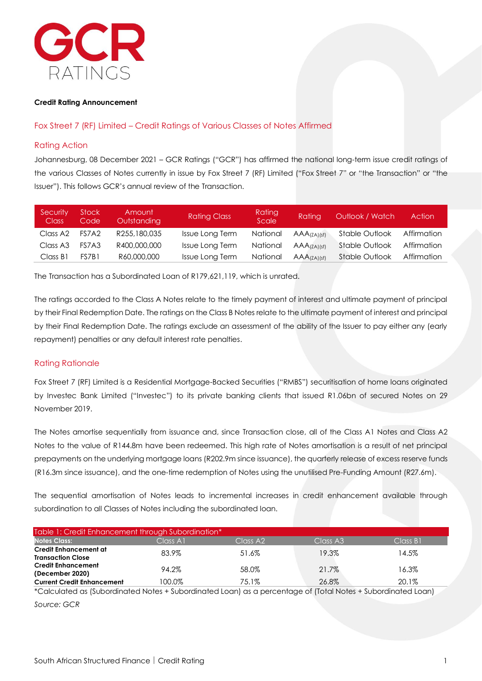

#### **Credit Rating Announcement**

### Fox Street 7 (RF) Limited – Credit Ratings of Various Classes of Notes Affirmed

#### Rating Action

Johannesburg, 08 December 2021 – GCR Ratings ("GCR") has affirmed the national long-term issue credit ratings of the various Classes of Notes currently in issue by Fox Street 7 (RF) Limited ("Fox Street 7" or "the Transaction" or "the Issuer"). This follows GCR's annual review of the Transaction.

| Security<br><b>Class</b> | <b>Stock</b><br>Code | Amount<br><b>Outstanding</b> | <b>Rating Class</b> | Rating<br>Scale | Ratina              | Outlook / Watch | <b>Action</b> |
|--------------------------|----------------------|------------------------------|---------------------|-----------------|---------------------|-----------------|---------------|
| Class A2                 | FS7A2                | R255,180,035                 | Issue Long Term     | National        | <b>AAA</b> (7A)(sf) | Stable Outlook  | Affirmation   |
| Class A <sub>3</sub>     | FS7A3                | R400,000,000                 | Issue Long Term     | National        | <b>AAA</b> (7A)(sf) | Stable Outlook  | Affirmation   |
| Class B1                 | FS7B1                | R60,000,000                  | Issue Long Term     | National        | AAA(ZA)(sf)         | Stable Outlook  | Affirmation   |

The Transaction has a Subordinated Loan of R179,621,119, which is unrated.

The ratings accorded to the Class A Notes relate to the timely payment of interest and ultimate payment of principal by their Final Redemption Date. The ratings on the Class B Notes relate to the ultimate payment of interest and principal by their Final Redemption Date. The ratings exclude an assessment of the ability of the Issuer to pay either any (early repayment) penalties or any default interest rate penalties.

#### Rating Rationale

Fox Street 7 (RF) Limited is a Residential Mortgage-Backed Securities ("RMBS") securitisation of home loans originated by Investec Bank Limited ("Investec") to its private banking clients that issued R1.06bn of secured Notes on 29 November 2019.

The Notes amortise sequentially from issuance and, since Transaction close, all of the Class A1 Notes and Class A2 Notes to the value of R144.8m have been redeemed. This high rate of Notes amortisation is a result of net principal prepayments on the underlying mortgage loans (R202.9m since issuance), the quarterly release of excess reserve funds (R16.3m since issuance), and the one-time redemption of Notes using the unutilised Pre-Funding Amount (R27.6m).

The sequential amortisation of Notes leads to incremental increases in credit enhancement available through subordination to all Classes of Notes including the subordinated loan.

| Table 1: Credit Enhancement through Subordination* |          |          |                      |          |
|----------------------------------------------------|----------|----------|----------------------|----------|
| <b>Notes Class:</b>                                | Class A1 | Class A2 | Class A <sub>3</sub> | Class B1 |
| Credit Enhancement at<br><b>Transaction Close</b>  | 83.9%    | 51.6%    | 19.3%                | 14.5%    |
| <b>Credit Enhancement</b><br>(December 2020)       | 94.2%    | 58.0%    | 21.7%                | 16.3%    |
| <b>Current Credit Enhancement</b>                  | 100.0%   | 75.1%    | 26.8%                | 20.1%    |
|                                                    |          |          |                      |          |

\*Calculated as (Subordinated Notes + Subordinated Loan) as a percentage of (Total Notes + Subordinated Loan)

*Source: GCR*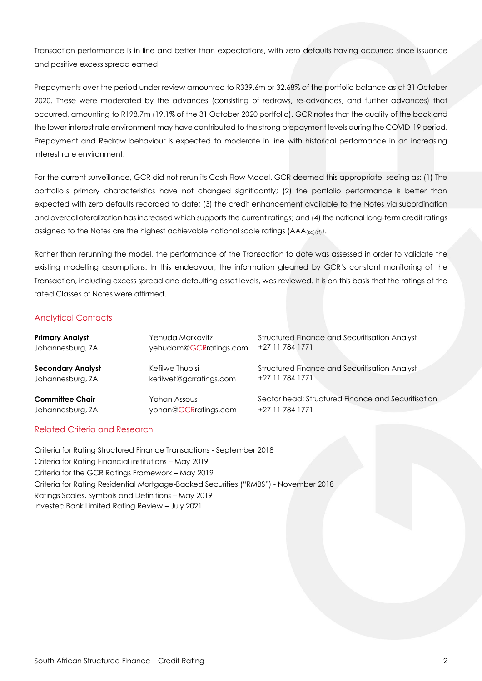Transaction performance is in line and better than expectations, with zero defaults having occurred since issuance and positive excess spread earned.

Prepayments over the period under review amounted to R339.6m or 32.68% of the portfolio balance as at 31 October 2020. These were moderated by the advances (consisting of redraws, re-advances, and further advances) that occurred, amounting to R198.7m (19.1% of the 31 October 2020 portfolio). GCR notes that the quality of the book and the lower interest rate environment may have contributed to the strong prepayment levels during the COVID-19 period. Prepayment and Redraw behaviour is expected to moderate in line with historical performance in an increasing interest rate environment.

For the current surveillance, GCR did not rerun its Cash Flow Model. GCR deemed this appropriate, seeing as: (1) The portfolio's primary characteristics have not changed significantly; (2) the portfolio performance is better than expected with zero defaults recorded to date; (3) the credit enhancement available to the Notes via subordination and overcollateralization has increased which supports the current ratings; and (4) the national long-term credit ratings assigned to the Notes are the highest achievable national scale ratings  $(AAA_{(z\alpha)(s\beta)})$ .

Rather than rerunning the model, the performance of the Transaction to date was assessed in order to validate the existing modelling assumptions. In this endeavour, the information gleaned by GCR's constant monitoring of the Transaction, including excess spread and defaulting asset levels, was reviewed. It is on this basis that the ratings of the rated Classes of Notes were affirmed.

### Analytical Contacts

| <b>Primary Analyst</b>   | Yehuda Markovitz        | <b>Structured Finance and Securitisation Analyst</b> |
|--------------------------|-------------------------|------------------------------------------------------|
| Johannesburg, ZA         | yehudam@GCRratings.com  | +27 11 784 1771                                      |
| <b>Secondary Analyst</b> | Kefilwe Thubisi         | Structured Finance and Securitisation Analyst        |
| Johannesburg, ZA         | kefilwet@gcrratings.com | +27 11 784 1771                                      |
| <b>Committee Chair</b>   | Yohan Assous            | Sector head: Structured Finance and Securitisation   |
| Johannesburg, ZA         | yohan@GCRratings.com    | +27 11 784 1771                                      |

## Related Criteria and Research

Criteria for Rating Structured Finance Transactions - September 2018 Criteria for Rating Financial institutions – May 2019 Criteria for the GCR Ratings Framework – May 2019 Criteria for Rating Residential Mortgage-Backed Securities ("RMBS") - November 2018 Ratings Scales, Symbols and Definitions – May 2019 Investec Bank Limited Rating Review – July 2021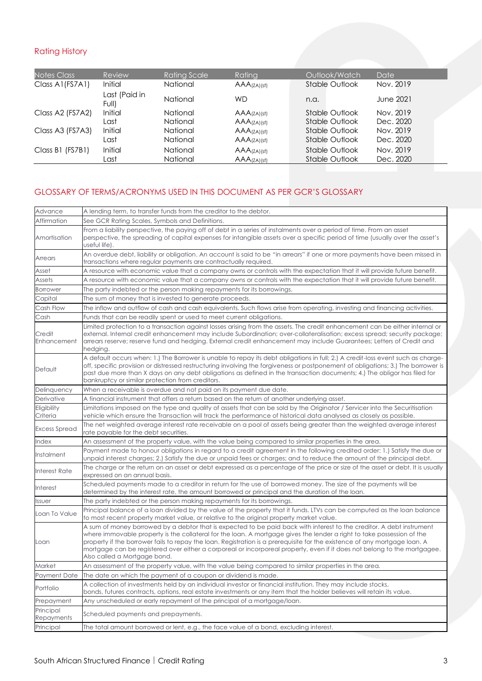# Rating History

| <b>Notes Class</b> | Review                 | <b>Rating Scale</b> | Rating                       | Outlook/Watch  | Date      |
|--------------------|------------------------|---------------------|------------------------------|----------------|-----------|
| Class A1(FS7A1)    | Initial                | National            | $AAA$ <sub>(ZA)</sub> (sf)   | Stable Outlook | Nov. 2019 |
|                    | Last (Paid in<br>Full) | National            | WD                           | n.a.           | June 2021 |
| Class A2 (FS7A2)   | Initial                | National            | $AAA$ <sub>(ZA)</sub> $(sf)$ | Stable Outlook | Nov. 2019 |
|                    | Last                   | National            | AAA(ZA)(sf)                  | Stable Outlook | Dec. 2020 |
| Class A3 (FS7A3)   | Initial                | National            | $AAA$ <sub>(ZA)</sub> (sf)   | Stable Outlook | Nov. 2019 |
|                    | Last                   | National            | $AAA$ ( $ZA$ ) (sf)          | Stable Outlook | Dec. 2020 |
| Class B1 (FS7B1)   | <b>Initial</b>         | National            | AAA(ZA)(sf)                  | Stable Outlook | Nov. 2019 |
|                    | Last                   | National            | $AAA$ <sub>(ZA)</sub> (sf)   | Stable Outlook | Dec. 2020 |
|                    |                        |                     |                              |                |           |

## GLOSSARY OF TERMS/ACRONYMS USED IN THIS DOCUMENT AS PER GCR'S GLOSSARY

| Advance                 | A lending term, to transfer funds from the creditor to the debtor.                                                                                                                                                                                                                                                                                                                                                                                                                                                                        |  |  |  |
|-------------------------|-------------------------------------------------------------------------------------------------------------------------------------------------------------------------------------------------------------------------------------------------------------------------------------------------------------------------------------------------------------------------------------------------------------------------------------------------------------------------------------------------------------------------------------------|--|--|--|
| Affirmation             | See GCR Rating Scales, Symbols and Definitions.                                                                                                                                                                                                                                                                                                                                                                                                                                                                                           |  |  |  |
| Amortisation            | From a liability perspective, the paying off of debt in a series of instalments over a period of time. From an asset<br>perspective, the spreading of capital expenses for intangible assets over a specific period of time (usually over the asset's<br>useful life).                                                                                                                                                                                                                                                                    |  |  |  |
| Arrears                 | An overdue debt, liability or obligation. An account is said to be "in arrears" if one or more payments have been missed in<br>transactions where regular payments are contractually required.                                                                                                                                                                                                                                                                                                                                            |  |  |  |
| Asset                   | A resource with economic value that a company owns or controls with the expectation that it will provide future benefit.                                                                                                                                                                                                                                                                                                                                                                                                                  |  |  |  |
| Assets                  | A resource with economic value that a company owns or controls with the expectation that it will provide future benefit.                                                                                                                                                                                                                                                                                                                                                                                                                  |  |  |  |
| <b>Borrower</b>         | The party indebted or the person making repayments for its borrowings.                                                                                                                                                                                                                                                                                                                                                                                                                                                                    |  |  |  |
| Capital                 | The sum of money that is invested to generate proceeds.                                                                                                                                                                                                                                                                                                                                                                                                                                                                                   |  |  |  |
| Cash Flow               | The inflow and outflow of cash and cash equivalents. Such flows arise from operating, investing and financing activities.                                                                                                                                                                                                                                                                                                                                                                                                                 |  |  |  |
| Cash                    | Funds that can be readily spent or used to meet current obligations.                                                                                                                                                                                                                                                                                                                                                                                                                                                                      |  |  |  |
| Credit<br>Enhancement   | Limited protection to a transaction against losses arising from the assets. The credit enhancement can be either internal or<br>external. Internal credit enhancement may include Subordination; over-collateralisation; excess spread; security package;<br>arrears reserve; reserve fund and hedging. External credit enhancement may include Guarantees; Letters of Credit and<br>hedging.                                                                                                                                             |  |  |  |
| Default                 | A default occurs when: 1.) The Borrower is unable to repay its debt obligations in full; 2.) A credit-loss event such as charge-<br>off, specific provision or distressed restructuring involving the forgiveness or postponement of obligations; 3.) The borrower is<br>past due more than X days on any debt obligations as defined in the transaction documents; 4.) The obligor has filed for<br>bankruptcy or similar protection from creditors.                                                                                     |  |  |  |
| Delinguency             | When a receivable is overdue and not paid on its payment due date.                                                                                                                                                                                                                                                                                                                                                                                                                                                                        |  |  |  |
| Derivative              | A financial instrument that offers a return based on the return of another underlying asset.                                                                                                                                                                                                                                                                                                                                                                                                                                              |  |  |  |
| Eligibility<br>Criteria | Limitations imposed on the type and quality of assets that can be sold by the Originator / Servicer into the Securitisation<br>vehicle which ensure the Transaction will track the performance of historical data analysed as closely as possible.                                                                                                                                                                                                                                                                                        |  |  |  |
| <b>Excess Spread</b>    | The net weighted average interest rate receivable on a pool of assets being greater than the weighted average interest<br>rate payable for the debt securities.                                                                                                                                                                                                                                                                                                                                                                           |  |  |  |
| Index                   | An assessment of the property value, with the value being compared to similar properties in the area.                                                                                                                                                                                                                                                                                                                                                                                                                                     |  |  |  |
| Instalment              | Payment made to honour obligations in regard to a credit agreement in the following credited order: 1.) Satisfy the due or<br>unpaid interest charges; 2.) Satisfy the due or unpaid fees or charges; and to reduce the amount of the principal debt.                                                                                                                                                                                                                                                                                     |  |  |  |
| Interest Rate           | The charge or the return on an asset or debt expressed as a percentage of the price or size of the asset or debt. It is usually<br>expressed on an annual basis.                                                                                                                                                                                                                                                                                                                                                                          |  |  |  |
| <b>Interest</b>         | Scheduled payments made to a creditor in return for the use of borrowed money. The size of the payments will be<br>determined by the interest rate, the amount borrowed or principal and the duration of the loan.                                                                                                                                                                                                                                                                                                                        |  |  |  |
| <b>Issuer</b>           | The party indebted or the person making repayments for its borrowings.                                                                                                                                                                                                                                                                                                                                                                                                                                                                    |  |  |  |
| Loan To Value           | Principal balance of a loan divided by the value of the property that it funds. LTVs can be computed as the loan balance<br>to most recent property market value, or relative to the original property market value.                                                                                                                                                                                                                                                                                                                      |  |  |  |
| Loan                    | A sum of money borrowed by a debtor that is expected to be paid back with interest to the creditor. A debt instrument<br>where immovable property is the collateral for the loan. A mortgage gives the lender a right to take possession of the<br>property if the borrower fails to repay the loan. Registration is a prerequisite for the existence of any mortgage loan. A<br>mortgage can be registered over either a corporeal or incorporeal property, even if it does not belong to the mortgagee.<br>Also called a Mortgage bond. |  |  |  |
| <b>Market</b>           | An assessment of the property value, with the value being compared to similar properties in the area.                                                                                                                                                                                                                                                                                                                                                                                                                                     |  |  |  |
| Payment Date            | The date on which the payment of a coupon or dividend is made.                                                                                                                                                                                                                                                                                                                                                                                                                                                                            |  |  |  |
| Portfolio               | A collection of investments held by an individual investor or financial institution. They may include stocks,<br>bonds, futures contracts, options, real estate investments or any item that the holder believes will retain its value.                                                                                                                                                                                                                                                                                                   |  |  |  |
| Prepayment              | Any unscheduled or early repayment of the principal of a mortgage/loan.                                                                                                                                                                                                                                                                                                                                                                                                                                                                   |  |  |  |
| Principal<br>Repayments | Scheduled payments and prepayments.                                                                                                                                                                                                                                                                                                                                                                                                                                                                                                       |  |  |  |
| Principal               | The total amount borrowed or lent, e.g., the face value of a bond, excluding interest.                                                                                                                                                                                                                                                                                                                                                                                                                                                    |  |  |  |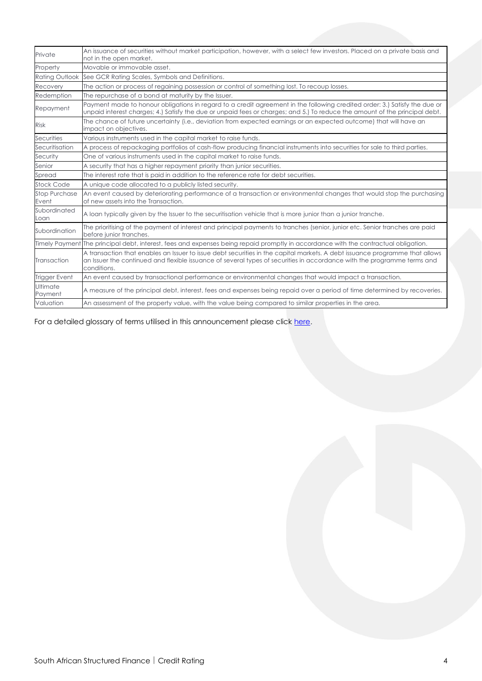| Private                       | An issuance of securities without market participation, however, with a select few investors. Placed on a private basis and<br>not in the open market.                                                                                                                |
|-------------------------------|-----------------------------------------------------------------------------------------------------------------------------------------------------------------------------------------------------------------------------------------------------------------------|
| Property                      | Movable or immovable asset.                                                                                                                                                                                                                                           |
| <b>Rating Outlook</b>         | See GCR Rating Scales, Symbols and Definitions.                                                                                                                                                                                                                       |
| Recovery                      | The action or process of regaining possession or control of something lost. To recoup losses,                                                                                                                                                                         |
| Redemption                    | The repurchase of a bond at maturity by the Issuer.                                                                                                                                                                                                                   |
| Repayment                     | Payment made to honour obligations in regard to a credit agreement in the following credited order: 3.) Satisfy the due or<br>unpaid interest charges; 4.) Satisfy the due or unpaid fees or charges; and 5.) To reduce the amount of the principal debt.             |
| <b>Risk</b>                   | The chance of future uncertainty (i.e., deviation from expected earnings or an expected outcome) that will have an<br>impact on objectives.                                                                                                                           |
| Securities                    | Various instruments used in the capital market to raise funds.                                                                                                                                                                                                        |
| Securitisation                | A process of repackaging portfolios of cash-flow producing financial instruments into securities for sale to third parties.                                                                                                                                           |
| Security                      | One of various instruments used in the capital market to raise funds.                                                                                                                                                                                                 |
| Senior                        | A security that has a higher repayment priority than junior securities.                                                                                                                                                                                               |
| Spread                        | The interest rate that is paid in addition to the reference rate for debt securities.                                                                                                                                                                                 |
| <b>Stock Code</b>             | A unique code allocated to a publicly listed security.                                                                                                                                                                                                                |
| <b>Stop Purchase</b><br>Event | An event caused by deteriorating performance of a transaction or environmental changes that would stop the purchasing<br>of new assets into the Transaction.                                                                                                          |
| Subordinated<br>Loan          | A loan typically given by the Issuer to the securitisation vehicle that is more junior than a junior tranche.                                                                                                                                                         |
| Subordination                 | The prioritising of the payment of interest and principal payments to tranches (senior, junior etc. Senior tranches are paid<br>before junior tranches.                                                                                                               |
| <b>Timely Payment</b>         | The principal debt, interest, fees and expenses being repaid promptly in accordance with the contractual obligation.                                                                                                                                                  |
| Transaction                   | A transaction that enables an Issuer to issue debt securities in the capital markets. A debt issuance programme that allows<br>an Issuer the continued and flexible issuance of several types of securities in accordance with the programme terms and<br>conditions. |
| <b>Trigger Event</b>          | An event caused by transactional performance or environmental changes that would impact a transaction.                                                                                                                                                                |
| Ultimate<br>Payment           | A measure of the principal debt, interest, fees and expenses being repaid over a period of time determined by recoveries.                                                                                                                                             |
| Valuation                     | An assessment of the property value, with the value being compared to similar properties in the area.                                                                                                                                                                 |

For a detailed glossary of terms utilised in this announcement please click [here.](https://globalratings.net/understanding-ratings/glossary)